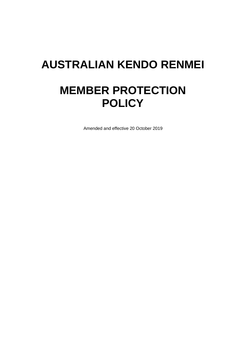# **AUSTRALIAN KENDO RENMEI MEMBER PROTECTION POLICY**

Amended and effective 20 October 2019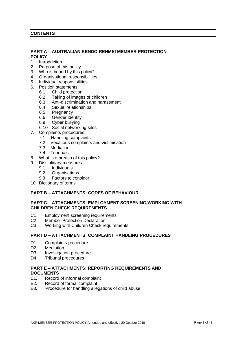## **CONTENTS**

## **PART A – AUSTRALIAN KENDO RENMEI MEMBER PROTECTION POLICY**

- 1. Introduction
- 2. Purpose of this policy
- 3. Who is bound by this policy?
- 4. Organisational responsibilities
- 5. Individual responsibilities
- 6. Position statements
	- 6.1 Child protection
	- 6.2 Taking of images of children
	- 6.3 Anti-discrimination and harassment
	- 6.4 Sexual relationships
	- 6.5 Pregnancy
	- 6.6 Gender identity
	- 6.9 Cyber bullying
	- 6.10 Social networking sites
- 7. Complaints procedures
	- 7.1 Handling complaints
	- 7.2 Vexatious complaints and victimisation
	- 7.3 Mediation
	- 7.4 Tribunals
- 8. What is a breach of this policy?
- 9. Disciplinary measures
	- 9.1 Individuals
	- 9.2 Organisations
	- 9.3 Factors to consider
- 10. Dictionary of terms

## **PART B – ATTACHMENTS: CODES OF BEHAVIOUR**

## **PART C – ATTACHMENTS: EMPLOYMENT SCREENING/WORKING WITH CHILDREN CHECK REQUIREMENTS**

- C1. Employment screening requirements
- C2. Member Protection Declaration
- C3. Working with Children Check requirements

## **PART D – ATTACHMENTS: COMPLAINT HANDLING PROCEDURES**

- D1. Complaints procedure
- D2. Mediation
- D3. Investigation procedure
- D4. Tribunal procedures

# **PART E – ATTACHMENTS: REPORTING REQUIREMENTS AND DOCUMENTS**<br>F1. Record

- Record of informal complaint
- E2. Record of formal complaint
- E3. Procedure for handling allegations of child abuse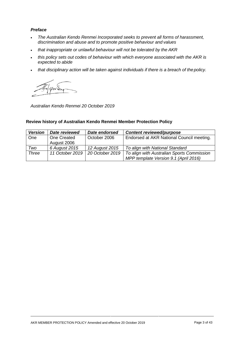## *Preface*

- *The Australian Kendo Renmei Incorporated seeks to prevent all forms of harassment, discrimination and abuse and to promote positive behaviour and values*
- *that inappropriate or unlawful behaviour will not be tolerated by the AKR*
- *this policy sets out codes of behaviour with which everyone associated with the AKR is expected to abide*
- *that disciplinary action will be taken against individuals if there is a breach of thepolicy.*

*Australian Kendo Renmei 20 October 2019*

## **Review history of Australian Kendo Renmei Member Protection Policy**

| <b>Version</b> | Date reviewed   | Date endorsed   | <b>Content reviewed/purpose</b>            |
|----------------|-----------------|-----------------|--------------------------------------------|
| <b>One</b>     | One Created     | October 2006    | Endorsed at AKR National Council meeting.  |
|                | August 2006     |                 |                                            |
| Two            | 6 August 2015   | 12 August 2015  | To align with National Standard            |
| <b>Three</b>   | 11 October 2019 | 20 October 2019 | To align with Australian Sports Commission |
|                |                 |                 | MPP template Version 9.1 (April 2016)      |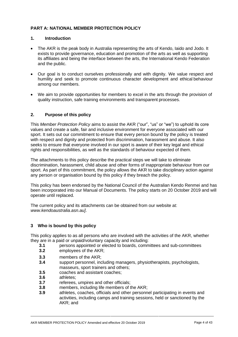## **PART A: NATIONAL MEMBER PROTECTION POLICY**

#### **1. Introduction**

- The AKR is the peak body in Australia representing the arts of Kendo, Iaido and Jodo. It exists to provide governance, education and promotion of the arts as well as supporting its affiliates and being the interface between the arts, the International Kendo Federation and the public.
- Our goal is to conduct ourselves professionally and with dignity. We value respect and humility and seek to promote continuous character development and ethical behaviour among our members.
- We aim to provide opportunities for members to excel in the arts through the provision of quality instruction, safe training environments and transparent processes.

## **2. Purpose of this policy**

This *Member Protection Policy* aims to assist the AKR ("our", "us" or "we") to uphold its core values and create a safe, fair and inclusive environment for everyone associated with our sport. It sets out our commitment to ensure that every person bound by the policy is treated with respect and dignity and protected from discrimination, harassment and abuse. It also seeks to ensure that everyone involved in our sport is aware of their key legal and ethical rights and responsibilities, as well as the standards of behaviour expected of them.

The attachments to this policy describe the practical steps we will take to eliminate discrimination, harassment, child abuse and other forms of inappropriate behaviour from our sport. As part of this commitment, the policy allows the AKR to take disciplinary action against any person or organisation bound by this policy if they breach the policy.

This policy has been endorsed by the National Council of the Australian Kendo Renmei and has been incorporated into our Manual of Documents. The policy starts on 20 October 2019 and will operate until replaced.

The current policy and its attachments can be obtained from our website at: *[www.kendoaustralia.asn.au\]](http://www.kendoaustralia.asn.au/)*.

## **3 Who is bound by this policy**

This policy applies to as all persons who are involved with the activities of the AKR, whether they are in a paid or unpaid/voluntary capacity and including:

- **3.1** persons appointed or elected to boards, committees and sub-committees
- **3.2** employees of the AKR;
- **3.3** members of the AKR;
- **3.4** support personnel, including managers, physiotherapists, psychologists, masseurs, sport trainers and others;
- **3.5** coaches and assistant coaches;
- **3.6** athletes;
- **3.7** referees, umpires and other officials;
- **3.8** members, including life members of the AKR;
- **3.9** athletes, coaches, officials and other personnel participating in events and activities, including camps and training sessions, held or sanctioned by the AKR; and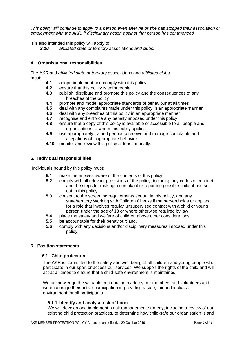*This policy will continue to apply to a person even after he or she has stopped their association or employment with the AKR, if disciplinary action against that person has commenced.*

It is also intended this policy will apply to:

*3.10 affiliated state or territory* associations *and clubs.*

## **4. Organisational responsibilities**

The AKR and *affiliated state or territory* associations and *affiliated clubs.* must:

- **4.1** adopt, implement and comply with this policy
- **4.2** ensure that this policy is enforceable
- **4.3** publish, distribute and promote this policy and the consequences of any breaches of the policy
- **4.4** promote and model appropriate standards of behaviour at all times
- **4.5** deal with any complaints made under this policy in an appropriate manner<br>**4.6** deal with any breaches of this policy in an appropriate manner
- **4.6** deal with any breaches of this policy in an appropriate manner<br>**4.7** recognise and enforce any penalty imposed under this policy
- recognise and enforce any penalty imposed under this policy
- **4.8** ensure that a copy of this policy is available or accessible to all people and organisations to whom this policy applies
- **4.9** use appropriately trained people to receive and manage complaints and allegations of inappropriate behavior
- **4.10** monitor and review this policy at least annually.

#### **5. Individual responsibilities**

Individuals bound by this policy must:

- **5.1** make themselves aware of the contents of this policy;
- **5.2** comply with all relevant provisions of the policy, including any codes of conduct and the steps for making a complaint or reporting possible child abuse set out in this policy;
- **5.3** consent to the screening requirements set out in this policy, and any state/territory Working with Children Checks if the person holds or applies for a role that involves regular unsupervised contact with a child or young person under the age of 18 or where otherwise required by law;
- **5.4** place the safety and welfare of children above other considerations;
- **5.5** be accountable for their behaviour: and,
- **5.6** comply with any decisions and/or disciplinary measures imposed under this policy.

#### **6. Position statements**

#### **6.1 Child protection**

The AKR is committed to the safety and well-being of all children and young people who participate in our sport or access our services. We support the rights of the child and will act at all times to ensure that a child-safe environment is maintained.

We acknowledge the valuable contribution made by our members and volunteers and we encourage their active participation in providing a safe, fair and inclusive environment for all participants.

#### **6.1.1 Identify and analyse risk of harm**

We will develop and implement a risk management strategy, including a review of our existing child protection practices, to determine how child-safe our organisation is and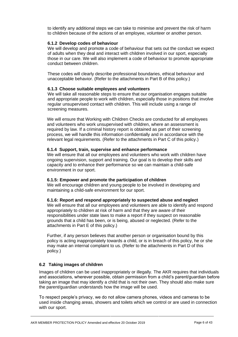to identify any additional steps we can take to minimise and prevent the risk of harm to children because of the actions of an employee, volunteer or another person.

#### **6.1.2 Develop codes of behaviour**

We will develop and promote a code of behaviour that sets out the conduct we expect of adults when they deal and interact with children involved in our sport, especially those in our care. We will also implement a code of behaviour to promote appropriate conduct between children.

These codes will clearly describe professional boundaries, ethical behaviour and unacceptable behavior. (Refer to the attachments in Part B of this policy.)

#### **6.1.3 Choose suitable employees and volunteers**

We will take all reasonable steps to ensure that our organisation engages suitable and appropriate people to work with children, especially those in positions that involve regular unsupervised contact with children. This will include using a range of screening measures.

We will ensure that Working with Children Checks are conducted for all employees and volunteers who work unsupervised with children, where an assessment is required by law. If a criminal history report is obtained as part of their screening process, we will handle this information confidentially and in accordance with the relevant legal requirements. (Refer to the attachments in Part C of this policy.)

#### **6.1.4 Support, train, supervise and enhance performance**

We will ensure that all our employees and volunteers who work with children have ongoing supervision, support and training. Our goal is to develop their skills and capacity and to enhance their performance so we can maintain a child-safe environment in our sport.

#### **6.1.5: Empower and promote the participation of children**

We will encourage children and young people to be involved in developing and maintaining a child-safe environment for our sport.

#### **6.1.6: Report and respond appropriately to suspected abuse and neglect**

We will ensure that all our employees and volunteers are able to identify and respond appropriately to children at risk of harm and that they are aware of their responsibilities under state laws to make a report if they suspect on reasonable grounds that a child has been, or is being, abused or neglected. (Refer to the attachments in Part E of this policy.)

Further, if any person believes that another person or organisation bound by this policy is acting inappropriately towards a child, or is in breach of this policy, he or she may make an internal complaint to us. (Refer to the attachments in Part D of this policy.)

## **6.2 Taking images of children**

Images of children can be used inappropriately or illegally. The AKR requires that individuals and associations, wherever possible, obtain permission from a child's parent/guardian before taking an image that may identify a child that is not their own. They should also make sure the parent/guardian understands how the image will be used.

To respect people's privacy, we do not allow camera phones, videos and cameras to be used inside changing areas, showers and toilets which we control or are used in connection with our sport.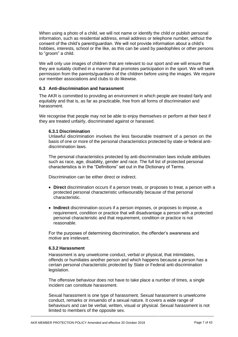When using a photo of a child, we will not name or identify the child or publish personal information, such as residential address, email address or telephone number, without the consent of the child's parent/guardian. We will not provide information about a child's hobbies, interests, school or the like, as this can be used by paedophiles or other persons to "groom" a child.

We will only use images of children that are relevant to our sport and we will ensure that they are suitably clothed in a manner that promotes participation in the sport. We will seek permission from the parents/guardians of the children before using the images. We require our member associations and clubs to do likewise.

## **6.3 Anti-discrimination and harassment**

The AKR is committed to providing an environment in which people are treated fairly and equitably and that is, as far as practicable, free from all forms of discrimination and harassment.

We recognise that people may not be able to enjoy themselves or perform at their best if they are treated unfairly, discriminated against or harassed.

#### **6.3.1 Discrimination**

Unlawful discrimination involves the less favourable treatment of a person on the basis of one or more of the personal characteristics protected by state or federal antidiscrimination laws.

The personal characteristics protected by anti-discrimination laws include attributes such as race, age, disability, gender and race. The full list of protected personal characteristics is in the "Definitions" set out in the Dictionary of Terms.

Discrimination can be either direct or indirect.

- **Direct** discrimination occurs if a person treats, or proposes to treat, a person with a protected personal characteristic unfavourably because of that personal characteristic.
- **Indirect** discrimination occurs if a person imposes, or proposes to impose, a requirement, condition or practice that will disadvantage a person with a protected personal characteristic and that requirement, condition or practice is not reasonable.

For the purposes of determining discrimination, the offender's awareness and motive are irrelevant.

## **6.3.2 Harassment**

Harassment is any unwelcome conduct, verbal or physical, that intimidates, offends or humiliates another person and which happens because a person has a certain personal characteristic protected by State or Federal anti-discrimination legislation.

The offensive behaviour does not have to take place a number of times, a single incident can constitute harassment.

Sexual harassment is one type of harassment. Sexual harassment is unwelcome conduct, remarks or innuendo of a sexual nature. It covers a wide range of behaviours and can be verbal, written, visual or physical. Sexual harassment is not limited to members of the opposite sex.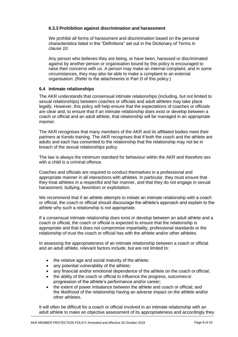## **6.3.3 Prohibition against discrimination and harassment**

We prohibit all forms of harassment and discrimination based on the personal characteristics listed in the "Definitions" set out in the Dictionary of Terms in *clause 10*.

Any person who believes they are being, or have been, harassed or discriminated against by another person or organisation bound by this policy is encouraged to raise their concerns with us. A person may make an internal complaint, and in some circumstances, they may also be able to make a complaint to an external organisation. (Refer to the attachments in Part D of this policy.)

## **6.4 Intimate relationships**

The AKR understands that consensual intimate relationships (including, but not limited to sexual relationships) between coaches or officials and adult athletes may take place legally. However, this policy will help ensure that the expectations of coaches or officials are clear and, to ensure that if an intimate relationship does exist or develop between a coach or official and an adult athlete, that relationship will be managed in an appropriate manner.

The AKR recognises that many members of the AKR and its affiliated bodies meet their partners at Kendo training. The AKR recognises that if both the coach and the athlete are adults and each has consented to the relationship that the relationship may not be in breach of the sexual relationships policy.

The law is always the minimum standard for behaviour within the AKR and therefore sex with a child is a criminal offence.

Coaches and officials are required to conduct themselves in a professional and appropriate manner in all interactions with athletes. In particular, they must ensure that they treat athletes in a respectful and fair manner, and that they do not engage in sexual harassment, bullying, favoritism or exploitation.

We recommend that if an athlete attempts to initiate an intimate relationship with a coach or official, the coach or official should discourage the athlete's approach and explain to the athlete why such a relationship is not appropriate.

If a consensual intimate relationship does exist or develop between an adult athlete and a coach or official, the coach or official is expected to ensure that the relationship is appropriate and that it does not compromise impartiality, professional standards or the relationship of trust the coach or official has with the athlete and/or other athletes.

In assessing the appropriateness of an intimate relationship between a coach or official and an adult athlete, relevant factors include, but are not limited to:

- the relative age and social maturity of the athlete;
- any potential vulnerability of the athlete;
- any financial and/or emotional dependence of the athlete on the coach or official;
- the ability of the coach or official to influence the progress, outcomes or progression of the athlete's performance and/or career;
- the extent of power imbalance between the athlete and coach or official; and the likelihood of the relationship having an adverse impact on the athlete and/or other athletes.

It will often be difficult for a coach or official involved in an intimate relationship with an adult athlete to make an objective assessment of its appropriateness and accordingly they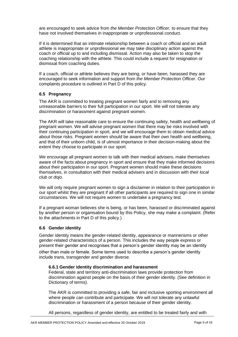are encouraged to seek advice from *the Member Protection Officer,* to ensure that they have not involved themselves in inappropriate or unprofessional conduct.

If it is determined that an intimate relationship between a coach or official and an adult athlete is inappropriate or unprofessional we may take disciplinary action against the coach or official up to and including dismissal. Action may also be taken to stop the coaching relationship with the athlete. This could include a request for resignation or dismissal from coaching duties.

If a coach, official or athlete believes they are being, or have been, harassed they are encouraged to seek information and support from *the Member Protection Officer*. Our complaints procedure is outlined in Part D of this policy.

## **6.5 Pregnancy**

The AKR is committed to treating pregnant women fairly and to removing any unreasonable barriers to their full participation in our sport. We will not tolerate any discrimination or harassment against pregnant women.

The AKR will take reasonable care to ensure the continuing safety, health and wellbeing of pregnant women. We will advise pregnant women that there may be risks involved with their continuing participation in sport, and we will encourage them to obtain medical advice about those risks. Pregnant women should be aware that their own health and wellbeing, and that of their unborn child, is of utmost importance in their decision-making about the extent they choose to participate in our sport.

We encourage all pregnant women to talk with their medical advisers, make themselves aware of the facts about pregnancy in sport and ensure that they make informed decisions about their participation in our sport. Pregnant women should make these decisions themselves, in consultation with their medical advisers and in discussion with *their local club or dojo.*

We will only require pregnant women to sign a disclaimer in relation to their participation in our sport whilst they are pregnant if all other participants are required to sign one in similar circumstances. We will not require women to undertake a pregnancy test.

If a pregnant woman believes she is being, or has been, harassed or discriminated against by another person or organisation bound by this Policy, she may make a complaint. (Refer to the attachments in Part D of this policy.)

#### **6.6 Gender identity**

Gender identity means the gender-related identity, appearance or mannerisms or other gender-related characteristics of a person. This includes the way people express or present their gender and recognises that a person's gender identity may be an identity

other than male or female. Some terms used to describe a person's gender identity include trans, transgender and gender diverse.

#### **6.6.1 Gender identity discrimination and harassment**

Federal, state and territory anti-discrimination laws provide protection from discrimination against people on the basis of their gender identity. (See definition in Dictionary of terms).

The AKR is committed to providing a safe, fair and inclusive sporting environment all where people can contribute and participate. We will not tolerate any unlawful discrimination or harassment of a person because of their gender identity.

All persons, regardless of gender identity, are entitled to be treated fairly and with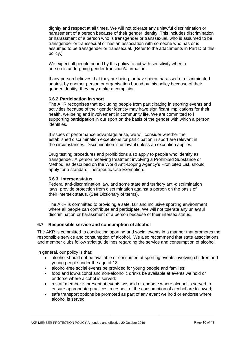dignity and respect at all times. We will not tolerate any unlawful discrimination or harassment of a person because of their gender identity. This includes discrimination or harassment of a person who is transgender or transsexual, who is assumed to be transgender or transsexual or has an association with someone who has or is assumed to be transgender or transsexual. (Refer to the attachments in Part D of this policy.)

We expect all people bound by this policy to act with sensitivity when a person is undergoing gender transition/affirmation.

If any person believes that they are being, or have been, harassed or discriminated against by another person or organisation bound by this policy because of their gender identity, they may make a complaint.

#### **6.6.2 Participation in sport**

The AKR recognises that excluding people from participating in sporting events and activities because of their gender identity may have significant implications for their health, wellbeing and involvement in community life. We are committed to l supporting participation in our sport on the basis of the gender with which a person identifies.

If issues of performance advantage arise, we will consider whether the established discrimination exceptions for participation in sport are relevant in the circumstances. Discrimination is unlawful unless an exception applies.

Drug testing procedures and prohibitions also apply to people who identify as transgender. A person receiving treatment involving a Prohibited Substance or Method, as described on the World Anti-Doping Agency's Prohibited List, should apply for a standard Therapeutic Use Exemption.

#### **6.6.3. Intersex status**

Federal anti-discrimination law, and some state and territory anti-discrimination laws, provide protection from discrimination against a person on the basis of their intersex status. (See Dictionary of terms).

The AKR is committed to providing a safe, fair and inclusive sporting environment where all people can contribute and participate. We will not tolerate any unlawful discrimination or harassment of a person because of their intersex status.

## **6.7 Responsible service and consumption of alcohol**

The AKR is committed to conducting sporting and social events in a manner that promotes the responsible service and consumption of alcohol. We also recommend that state associations and member clubs follow strict guidelines regarding the service and consumption of alcohol.

In general, our policy is that:

- alcohol should not be available or consumed at sporting events involving children and young people under the age of 18;
- alcohol-free social events be provided for young people and families;
- food and low-alcohol and non-alcoholic drinks be available at events we hold or endorse where alcohol is served;
- a staff member is present at events we hold or endorse where alcohol is served to ensure appropriate practices in respect of the consumption of alcohol are followed;
- safe transport options be promoted as part of any event we hold or endorse where alcohol is served.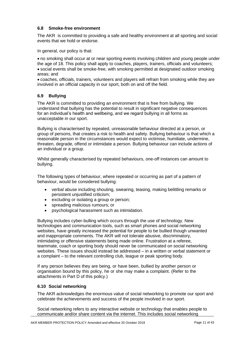## **6.8 Smoke-free environment**

The AKR is committed to providing a safe and healthy environment at all sporting and social events that we hold or endorse.

In general, our policy is that:

• no smoking shall occur at or near sporting events involving children and young people under the age of 18. This policy shall apply to coaches, players, trainers, officials and volunteers; • social events shall be smoke-free, with smoking permitted at designated outdoor smoking areas; and

• coaches, officials, trainers, volunteers and players will refrain from smoking while they are involved in an official capacity in our sport, both on and off the field.

## **6.9 Bullying**

The AKR is committed to providing an environment that is free from bullying. We understand that bullying has the potential to result in significant negative consequences for an individual's health and wellbeing, and we regard bullying in all forms as unacceptable in our sport.

Bullying is characterised by repeated, unreasonable behaviour directed at a person, or group of persons, that creates a risk to health and safety. Bullying behaviour is that which a reasonable person in the circumstances would expect to victimise, humiliate, undermine, threaten, degrade, offend or intimidate a person. Bullying behaviour can include actions of an individual or a group.

Whilst generally characterised by repeated behaviours, one-off instances can amount to bullying.

The following types of behaviour, where repeated or occurring as part of a pattern of behaviour, would be considered bullying:

- verbal abuse including shouting, swearing, teasing, making belittling remarks or persistent unjustified criticism;
- excluding or isolating a group or person;
- spreading malicious rumours; or
- psychological harassment such as intimidation.

Bullying includes cyber-bulling which occurs through the use of technology. New technologies and communication tools, such as smart phones and social networking websites, have greatly increased the potential for people to be bullied though unwanted and inappropriate comments. The AKR will not tolerate abusive, discriminatory, intimidating or offensive statements being made online. Frustration at a referee, teammate, coach or sporting body should never be communicated on social networking websites. These issues should instead be addressed – in a written or verbal statement or a complaint – to the relevant controlling club, league or peak sporting body.

If any person believes they are being, or have been, bullied by another person or organisation bound by this policy, he or she may make a complaint. (Refer to the attachments in Part D of this policy.)

#### **6.10 Social networking**

The AKR acknowledges the enormous value of social networking to promote our sport and celebrate the achievements and success of the people involved in our sport.

Social networking refers to any interactive website or technology that enables people to communicate and/or share content via the internet. This includes social networking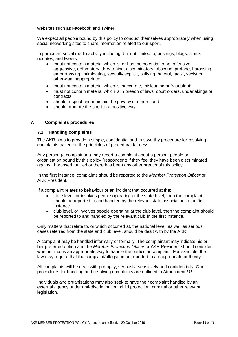websites such as Facebook and Twitter.

We expect all people bound by this policy to conduct themselves appropriately when using social networking sites to share information related to our sport.

In particular, social media activity including, but not limited to, postings, blogs, status updates, and tweets:

- must not contain material which is, or has the potential to be, offensive, aggressive, defamatory, threatening, discriminatory, obscene, profane, harassing, embarrassing, intimidating, sexually explicit, bullying, hateful, racist, sexist or otherwise inappropriate;
- must not contain material which is inaccurate, misleading or fraudulent;
- must not contain material which is in breach of laws, court orders, undertakings or contracts;
- should respect and maintain the privacy of others; and
- should promote the sport in a positive way.

## **7. Complaints procedures**

#### **7.1 Handling complaints**

The AKR aims to provide a simple, confidential and trustworthy procedure for resolving complaints based on the principles of procedural fairness.

Any person (a complainant) may report a complaint about a person, people or organisation bound by this policy (respondent) if they feel they have been discriminated against, harassed, bullied or there has been any other breach of this policy.

In the first instance, complaints should be reported to the *Member Protection Officer* or AKR President.

If a complaint relates to behaviour or an incident that occurred at the:

- state level, or involves people operating at the state level, then the complaint should be reported to and handled by the relevant state association in the first instance
- club level, or involves people operating at the club level, then the complaint should be reported to and handled by the relevant club in the first instance.

Only matters that relate to, or which occurred at, the national level, as well as serious cases referred from the state and club level, should be dealt with by the AKR.

A complaint may be handled informally or formally. The complainant may indicate his or her preferred option and the *Member Protection Officer* or AKR President should consider whether that is an appropriate way to handle the particular complaint. For example, the law may require that the complaint/allegation be reported to an appropriate authority.

All complaints will be dealt with promptly, seriously, sensitively and confidentially. Our procedures for handling and resolving complaints are outlined in Attachment *D1*.

Individuals and organisations may also seek to have their complaint handled by an external agency under anti-discrimination, child protection, criminal or other relevant legislation.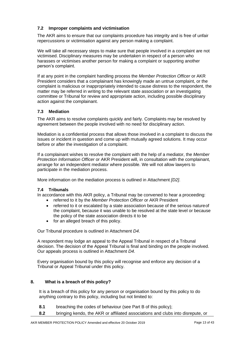## **7.2 Improper complaints and victimisation**

The AKR aims to ensure that our complaints procedure has integrity and is free of unfair repercussions or victimisation against any person making a complaint.

We will take all necessary steps to make sure that people involved in a complaint are not victimised. Disciplinary measures may be undertaken in respect of a person who harasses or victimises another person for making a complaint or supporting another person's complaint.

If at any point in the complaint handling process the *Member Protection Officer* or AKR President considers that a complainant has knowingly made an untrue complaint, or the complaint is malicious or inappropriately intended to cause distress to the respondent, the matter may be referred in writing to the relevant state association or an investigating committee or Tribunal for review and appropriate action, including possible disciplinary action against the complainant.

## **7.3 Mediation**

The AKR aims to resolve complaints quickly and fairly. Complaints may be resolved by agreement between the people involved with no need for disciplinary action.

Mediation is a confidential process that allows those involved in a complaint to discuss the issues or incident in question and come up with mutually agreed solutions. It may occur before or after the investigation of a complaint.

If a complainant wishes to resolve the complaint with the help of a mediator, the *Member Protection Information Officer* or AKR President will, in consultation with the complainant, arrange for an independent mediator where possible. We will not allow lawyers to participate in the mediation process.

More information on the mediation process is outlined in Attachment *[D2]*.

## **7.4 Tribunals**

In accordance with this AKR policy, a Tribunal may be convened to hear a proceeding:

- referred to it by the *Member Protection Officer* or AKR President
- referred to it or escalated by a state association because of the serious natureof the complaint, because it was unable to be resolved at the state level or because the policy of the state association directs it to be
- for an alleged breach of this policy.

Our Tribunal procedure is outlined in Attachment *D4*.

A respondent may lodge an appeal to the Appeal Tribunal in respect of a Tribunal decision. The decision of the Appeal Tribunal is final and binding on the people involved. Our appeals process is outlined in Attachment *D4*.

Every organisation bound by this policy will recognise and enforce any decision of a Tribunal or Appeal Tribunal under this policy.

## **8. What is a breach of this policy?**

It is a breach of this policy for any person or organisation bound by this policy to do anything contrary to this policy, including but not limited to:

- **8.1** breaching the codes of behaviour (see Part B of this policy);
- **8.2** bringing kendo, the AKR or affiliated associations and clubs into disrepute, or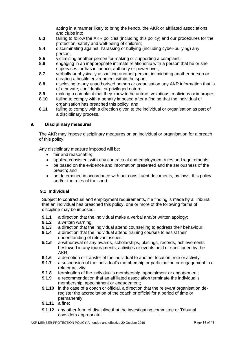acting in a manner likely to bring the kendo, the AKR or affiliated associations and clubs into

- **8.3** failing to follow the AKR policies (including this policy) and our procedures for the protection, safety and well-being of children;
- **8.4** discriminating against, harassing or bullying (including cyber-bullying) any person;
- **8.5** victimising another person for making or supporting a complaint;
- **8.6** engaging in an inappropriate intimate relationship with a person that he or she supervises, or has influence, authority or power over;
- **8.7** verbally or physically assaulting another person, intimidating another person or creating a hostile environment within the sport;
- **8.8** disclosing to any unauthorised person or organisation any AKR information that is of a private, confidential or privileged nature;
- **8.9** making a complaint that they know to be untrue, vexatious, malicious orimproper;
- **8.10** failing to comply with a penalty imposed after a finding that the individual or organisation has breached this policy; and
- **8.11** failing to comply with a direction given to the individual or organisation as part of a disciplinary process.

## **9. Disciplinary measures**

The AKR may impose disciplinary measures on an individual or organisation for a breach of this policy.

Any disciplinary measure imposed will be:

- fair and reasonable;
- applied consistent with any contractual and employment rules and requirements;
- be based on the evidence and information presented and the seriousness of the breach; and
- be determined in accordance with our constituent documents, by-laws, this policy and/or the rules of the sport.

## **9.1 Individual**

Subject to contractual and employment requirements, if a finding is made by a Tribunal that an individual has breached this policy, one or more of the following forms of discipline may be imposed.

- **9.1.1** a direction that the individual make a verbal and/or written apology;<br>**9.1.2** a written warning:
- **9.1.2** a written warning;
- **9.1.3** a direction that the individual attend counselling to address their behaviour;
- **9.1.4** a direction that the individual attend training courses to assist their understanding of relevant issues;
- **9.1.5** a withdrawal of any awards, scholarships, placings, records, achievements bestowed in any tournaments, activities or events held or sanctioned by the AKR;
- **9.1.6** a demotion or transfer of the individual to another location, role or activity;
- **9.1.7** a suspension of the individual's membership or participation or engagement in a role or activity;
- **9.1.8** termination of the individual's membership, appointment or engagement;
- **9.1.9** a recommendation that an affiliated association terminate the individual's membership, appointment or engagement;
- **9.1.10** in the case of a coach or official, a direction that the relevant organisation deregister the accreditation of the coach or official for a period of time or permanently;
- **9.1.11** a fine;
- **9.1.12** any other form of discipline that the investigating committee or Tribunal considers appropriate.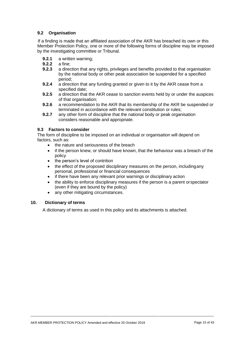## **9.2 Organisation**

If a finding is made that an affiliated association of the AKR has breached its own or this Member Protection Policy*,* one or more of the following forms of discipline may be imposed by the investigating committee or Tribunal.

- **9.2.1** a written warning;
- **9.2.2** a fine;<br>**9.2.3** a direct
- **9.2.3** a direction that any rights, privileges and benefits provided to that organisation by the national body or other peak association be suspended for a specified period;
- **9.2.4** a direction that any funding granted or given to it by the AKR cease from a specified date;
- **9.2.5** a direction that the AKR cease to sanction events held by or under the auspices of that organisation;
- **9.2.6** a recommendation to the AKR that its membership of the AKR be suspended or terminated in accordance with the relevant constitution or rules;
- **9.2.7** any other form of discipline that the national body or peak organisation considers reasonable and appropriate.

## **9.3 Factors to consider**

The form of discipline to be imposed on an individual or organisation will depend on factors, such as:

- the nature and seriousness of the breach
- if the person knew, or should have known, that the behaviour was a breach of the policy
- the person's level of contrition
- the effect of the proposed disciplinary measures on the person, includingany personal, professional or financial consequences
- if there have been any relevant prior warnings or disciplinary action
- the ability to enforce disciplinary measures if the person is a parent orspectator (even if they are bound by the policy)
- any other mitigating circumstances.

## **10. Dictionary of terms**

A dictionary of terms as used in this policy and its attachments is attached.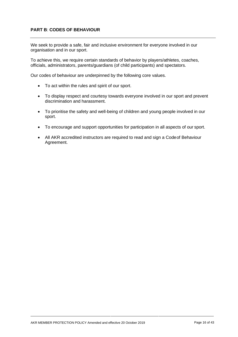## **PART B**: **CODES OF BEHAVIOUR**

We seek to provide a safe, fair and inclusive environment for everyone involved in our organisation and in our sport.

To achieve this, we require certain standards of behavior by players/athletes, coaches, officials, administrators, parents/guardians (of child participants) and spectators.

Our codes of behaviour are underpinned by the following core values.

- To act within the rules and spirit of our sport.
- To display respect and courtesy towards everyone involved in our sport and prevent discrimination and harassment.
- To prioritise the safety and well-being of children and young people involved in our sport.
- To encourage and support opportunities for participation in all aspects of our sport.
- All AKR accredited instructors are required to read and sign a Codeof Behaviour Agreement.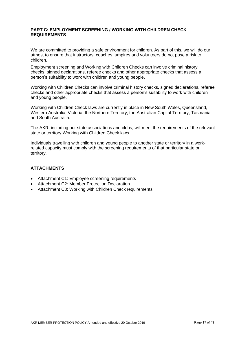## **PART C: EMPLOYMENT SCREENING / WORKING WITH CHILDREN CHECK REQUIREMENTS**

We are committed to providing a safe environment for children. As part of this, we will do our utmost to ensure that instructors, coaches, umpires and volunteers do not pose a risk to children.

Employment screening and Working with Children Checks can involve criminal history checks, signed declarations, referee checks and other appropriate checks that assess a person's suitability to work with children and young people.

Working with Children Checks can involve criminal history checks, signed declarations, referee checks and other appropriate checks that assess a person's suitability to work with children and young people.

Working with Children Check laws are currently in place in New South Wales, Queensland, Western Australia, Victoria, the Northern Territory, the Australian Capital Territory, Tasmania and South Australia.

The AKR, including our state associations and clubs, will meet the requirements of the relevant state or territory Working with Children Check laws.

Individuals travelling with children and young people to another state or territory in a workrelated capacity must comply with the screening requirements of that particular state or territory.

## **ATTACHMENTS**

- Attachment C1: Employee screening requirements
- Attachment C2: Member Protection Declaration
- Attachment C3: Working with Children Check requirements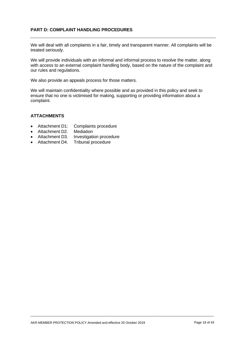## **PART D: COMPLAINT HANDLING PROCEDURES**

We will deal with all complaints in a fair, timely and transparent manner. All complaints will be treated seriously.

We will provide individuals with an informal and informal process to resolve the matter, along with access to an external complaint handling body, based on the nature of the complaint and our rules and regulations.

We also provide an appeals process for those matters.

We will maintain confidentiality where possible and as provided in this policy and seek to ensure that no one is victimised for making, supporting or providing information about a complaint.

#### **ATTACHMENTS**

- Attachment D1: Complaints procedure
- Attachment D2. Mediation
- Attachment D3. Investigation procedure
- Attachment D4. Tribunal procedure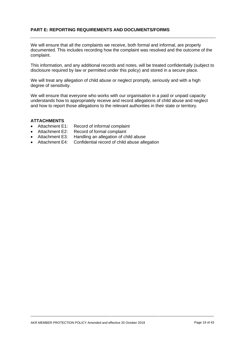## **PART E: REPORTING REQUIREMENTS AND DOCUMENTS/FORMS**

We will ensure that all the complaints we receive, both formal and informal, are properly documented. This includes recording how the complaint was resolved and the outcome of the complaint.

This information, and any additional records and notes, will be treated confidentially (subject to disclosure required by law or permitted under this policy) and stored in a secure place.

We will treat any allegation of child abuse or neglect promptly, seriously and with a high degree of sensitivity.

We will ensure that everyone who works with our organisation in a paid or unpaid capacity understands how to appropriately receive and record allegations of child abuse and neglect and how to report those allegations to the relevant authorities in their state or territory.

#### **ATTACHMENTS**

- Attachment E1: Record of informal complaint
- Attachment E2: Record of formal complaint
- Attachment E3: Handling an allegation of child abuse
- Attachment E4: Confidential record of child abuse allegation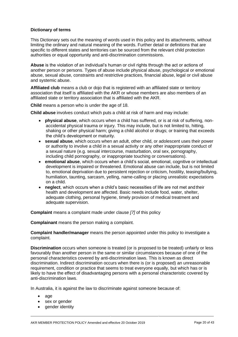## **Dictionary of terms**

This Dictionary sets out the meaning of words used in this policy and its attachments, without limiting the ordinary and natural meaning of the words. Further detail or definitions that are specific to different states and territories can be sourced from the relevant child protection authorities or equal opportunity and anti-discrimination commissions.

**Abuse** is the violation of an individual's human or civil rights through the act or actions of another person or persons. Types of abuse include physical abuse, psychological or emotional abuse, sexual abuse, constraints and restrictive practices, financial abuse, legal or civil abuse and systemic abuse.

**Affiliated club** means a club or dojo that is registered with an affiliated state or territory association that itself is affiliated with the AKR or whose members are also members of an affiliated state or territory association that is affiliated with the AKR.

**Child** means a person who is under the age of 18.

**Child abuse** involves conduct which puts a child at risk of harm and may include:

- **physical abuse**, which occurs when a child has suffered, or is at risk of suffering, nonaccidental physical trauma or injury. This may include, but is not limited to, hitting, shaking or other physical harm; giving a child alcohol or drugs; or training that exceeds the child's development or maturity.
- **sexual abuse**, which occurs when an adult, other child, or adolescent uses their power or authority to involve a child in a sexual activity or any other inappropriate conduct of a sexual nature (e.g. sexual intercourse, masturbation, oral sex, pornography, including child pornography, or inappropriate touching or conversations).
- **emotional abuse**, which occurs when a child's social, emotional, cognitive or intellectual development is impaired or threatened. Emotional abuse can include, but is not limited to, emotional deprivation due to persistent rejection or criticism, hostility, teasing/bullying, humiliation, taunting, sarcasm, yelling, name-calling or placing unrealistic expectations on a child.
- **neglect**, which occurs when a child's basic necessities of life are not met andtheir health and development are affected. Basic needs include food, water, shelter, adequate clothing, personal hygiene, timely provision of medical treatment and adequate supervision.

**Complaint** means a complaint made under clause *[7]* of this policy

**Complainant** means the person making a complaint.

**Complaint handler/manager** means the person appointed under this policy to investigate a complaint.

**Discrimination** occurs when someone is treated (or is proposed to be treated) unfairly or less favourably than another person in the same or similar circumstances because of one of the personal characteristics covered by anti-discrimination laws. This is known as direct discrimination. Indirect discrimination occurs when there is (or is proposed) an unreasonable requirement, condition or practice that seems to treat everyone equally, but which has or is likely to have the effect of disadvantaging persons with a personal characteristic covered by anti-discrimination laws.

In Australia, it is against the law to discriminate against someone because of:

- age
- sex or gender
- gender identity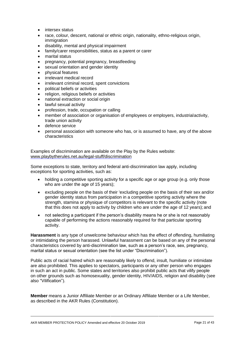- intersex status
- race, colour, descent, national or ethnic origin, nationality, ethno-religious origin, immigration
- disability, mental and physical impairment
- family/carer responsibilities, status as a parent or carer
- marital status
- pregnancy, potential pregnancy, breastfeeding
- sexual orientation and gender identity
- physical features
- irrelevant medical record
- irrelevant criminal record, spent convictions
- political beliefs or activities
- religion, religious beliefs or activities
- national extraction or social origin
- lawful sexual activity
- profession, trade, occupation or calling
- member of association or organisation of employees or employers, industrialactivity, trade union activity
- defence service
- personal association with someone who has, or is assumed to have, any of the above characteristics

Examples of discrimination are available on the Play by the Rules website: [www.playbytherules.net.au/legal-stuff/discrimination](http://www.playbytherules.net.au/legal-stuff/discrimination)

Some exceptions to state, territory and federal anti-discrimination law apply, including exceptions for sporting activities, such as:

- holding a competitive sporting activity for a specific age or age group (e.g. only those who are under the age of 15 years);
- excluding people on the basis of their 'excluding people on the basis of their sex and/or gender identity status from participation in a competitive sporting activity where the strength, stamina or physique of competitors is relevant to the specific activity (note that this does not apply to activity by children who are under the age of 12 years); and
- not selecting a participant if the person's disability means he or she is not reasonably capable of performing the actions reasonably required for that particular sporting activity.

**Harassment** is any type of unwelcome behaviour which has the effect of offending, humiliating or intimidating the person harassed. Unlawful harassment can be based on any of the personal characteristics covered by anti-discrimination law, such as a person's race, sex, pregnancy, marital status or sexual orientation (see the list under "Discrimination").

Public acts of racial hatred which are reasonably likely to offend, insult, humiliate or intimidate are also prohibited. This applies to spectators, participants or any other person who engages in such an act in public. Some states and territories also prohibit public acts that vilify people on other grounds such as homosexuality, gender identity, HIV/AIDS, religion and disability (see also "Vilification").

**Member** means a Junior Affiliate Member or an Ordinary Affiliate Member or a Life Member, as described in the AKR Rules (Constitution).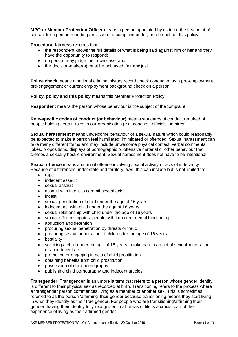**MPO or Member Protection Officer** means a person appointed by us to be the first point of contact for a person reporting an issue or a complaint under, or a breach of, this policy.

#### **Procedural fairness** requires that:

- the respondent knows the full details of what is being said against him or her and they have the opportunity to respond;
- no person may judge their own case; and
- the decision-maker(s) must be unbiased, fair and just.

**Police check** means a national criminal history record check conducted as a pre-employment, pre-engagement or current employment background check on a person.

**Policy, policy and this policy** means this Member Protection Policy.

**Respondent** means the person whose behaviour is the subject of thecomplaint.

**Role-specific codes of conduct (or behaviour)** means standards of conduct required of people holding certain roles in our organisation (e.g. coaches, officials, umpires).

**Sexual harassment** means unwelcome behaviour of a sexual nature which could reasonably be expected to make a person feel humiliated, intimidated or offended. Sexual harassment can take many different forms and may include unwelcome physical contact, verbal comments, jokes, propositions, displays of pornographic or offensive material or other behaviour that creates a sexually hostile environment. Sexual harassment does not have to be intentional.

**Sexual offence** means a criminal offence involving sexual activity or acts of indecency. Because of differences under state and territory laws, this can include but is not limited to:

- rape
- indecent assault
- sexual assault
- assault with intent to commit sexual acts
- incest
- sexual penetration of child under the age of 16 years
- indecent act with child under the age of 16 years
- sexual relationship with child under the age of 16 years
- sexual offences against people with impaired mental functioning
- abduction and detention
- procuring sexual penetration by threats or fraud
- procuring sexual penetration of child under the age of 16 years
- **bestiality**
- soliciting a child under the age of 16 years to take part in an act of sexualpenetration, or an indecent act
- promoting or engaging in acts of child prostitution
- obtaining benefits from child prostitution
- possession of child pornography
- publishing child pornography and indecent articles.

**Transgender '**Transgender' is an umbrella term that refers to a person whose gender identity is different to their physical sex as recorded at birth. Transitioning refers to the process where a transgender person commences living as a member of another sex**.** This is sometimes referred to as the person 'affirming' their gender because transitioning means they start living in what they identify as their true gender. For people who are transitioning/affirming their gender, having their identity fully recognised in all areas of life is a crucial part of the experience of living as their affirmed gender.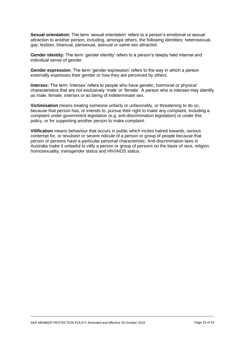**Sexual orientation:** The term 'sexual orientation' refers to a person's emotional or sexual attraction to another person, including, amongst others, the following identities: heterosexual, gay, lesbian, bisexual, pansexual, asexual or same-sex attracted.

**Gender identity:** The term 'gender identity' refers to a person's deeply held internal and individual sense of gender.

**Gender expression**: The term 'gender expression' refers to the way in which a person externally expresses their gender or how they are perceived by others.

**Intersex:** The term 'intersex' refers to people who have genetic, hormonal or physical characteristics that are not exclusively 'male' or 'female'. A person who is intersex may identify as male, female, intersex or as being of indeterminate sex.

**Victimisation** means treating someone unfairly or unfavorably, or threatening to do so, because that person has, or intends to, pursue their right to make any complaint, including a complaint under government legislation (e.g. anti-discrimination legislation) or under this policy, or for supporting another person to make complaint.

**Vilification** means behaviour that occurs in public which incites hatred towards, serious contempt for, or revulsion or severe ridicule of a person or group of people because that person or persons have a particular personal characteristic. Anti-discrimination laws in Australia make it unlawful to vilify a person or group of persons on the basis of race, religion, homosexuality, transgender status and HIV/AIDS status.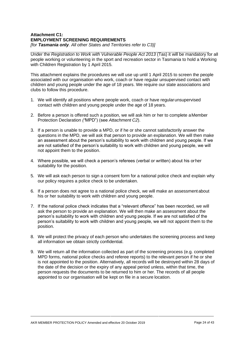#### **Attachment C1: EMPLOYMENT SCREENING REQUIREMENTS** *[for Tasmania only. All other States and Territories refer to C3)]*

Under the *Registration to Work with Vulnerable People Act 2013* (Tas) it will be mandatory for all people working or volunteering in the sport and recreation sector in Tasmania to hold a Working with Children Registration by 1 April 2015.

This attachment explains the procedures we will use up until 1 April 2015 to screen the people associated with our organisation who work, coach or have regular unsupervised contact with children and young people under the age of 18 years. We require our state associations and clubs to follow this procedure.

- 1. We will identify all positions where people work, coach or have regularunsupervised contact with children and young people under the age of 18 years.
- 2. Before a person is offered such a position, we will ask him or her to complete aMember Protection Declaration *("*MPD") (see *Attachment C2*).
- 3. If a person is unable to provide a MPD, or if he or she cannot satisfactorily answer the questions in the MPD, we will ask that person to provide an explanation. We will then make an assessment about the person's suitability to work with children and young people. If we are not satisfied of the person's suitability to work with children and young people, we will not appoint them to the position.
- 4. Where possible, we will check a person's referees (verbal or written) about his orher suitability for the position.
- 5. We will ask each person to sign a consent form for a national police check and explain why our policy requires a police check to be undertaken.
- 6. If a person does not agree to a national police check, we will make an assessment about his or her suitability to work with children and young people.
- 7. If the national police check indicates that a "relevant offence" has been recorded, we will ask the person to provide an explanation. We will then make an assessment about the person's suitability to work with children and young people. If we are not satisfied of the person's suitability to work with children and young people, we will not appoint them to the position.
- 8. We will protect the privacy of each person who undertakes the screening process and keep all information we obtain strictly confidential.
- 9. We will return all the information collected as part of the screening process (e.g. completed MPD forms, national police checks and referee reports) to the relevant person if he or she is not appointed to the position. Alternatively, all records will be destroyed within 28 days of the date of the decision or the expiry of any appeal period unless, within that time, the person requests the documents to be returned to him or her. The records of all people appointed to our organisation will be kept on file in a secure location.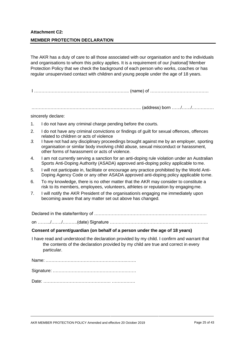## **Attachment C2: MEMBER PROTECTION DECLARATION**

The AKR has a duty of care to all those associated with our organisation and to the individuals and organisations to whom this policy applies. It is a requirement of our *[national]* Member Protection Policy that we check the background of each person who works, coaches or has regular unsupervised contact with children and young people under the age of 18 years.

I ……………………………………………………….. (name) of ………………………………….

.……………………………………………………………….. (address) born ……/……/……………

#### sincerely declare:

- 1. I do not have any criminal charge pending before the courts.
- 2. I do not have any criminal convictions or findings of guilt for sexual offences, offences related to children or acts of violence
- *3.* I have not had any disciplinary proceedings brought against me by an employer, sporting organisation or similar body involving child abuse, sexual misconduct or harassment, other forms of harassment or acts of violence*.*
- 4. I am not currently serving a sanction for an anti-doping rule violation under an Australian Sports Anti-Doping Authority (ASADA) approved anti-doping policy applicable to me.
- 5. I will not participate in, facilitate or encourage any practice prohibited by the World Anti-Doping Agency Code or any other ASADA approved anti-doping policy applicable tome.
- 6. To my knowledge, there is no other matter that the AKR may consider to constitute a risk to its members, employees, volunteers, athletes or reputation by engaging me.
- 7. I will notify the AKR President of the organisation/s engaging me immediately upon becoming aware that any matter set out above has changed.

Declared in the state/territory of ……………………………………….………………………….

on …….../……./……….(date) Signature ………………………………………………………….

#### **Consent of parent/guardian (on behalf of a person under the age of 18 years)**

I have read and understood the declaration provided by my child. I confirm and warrant that the contents of the declaration provided by my child are true and correct in every particular.

Name: ……………………………………………….…….

Signature: …………………………………………………

Date: ………………………………………. …………….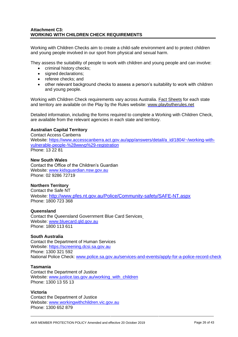## **Attachment C3: WORKING WITH CHILDREN CHECK REQUIREMENTS**

Working with Children Checks aim to create a child-safe environment and to protect children and young people involved in our sport from physical and sexual harm.

They assess the suitability of people to work with children and young people and can involve:

- criminal history checks;
- signed declarations:
- referee checks; and
- other relevant background checks to assess a person's suitability to work with children and young people.

Working with Children Check requirements vary across Australia. [Fact Sheets](http://www.playbytherules.net.au/legal-stuff/child-protection/child-protection-laws-explained/screening) for each state and territory are available on the Play by the Rules website: [www.playbytherules.net](http://www.playbytherules.net/)

Detailed information, including the forms required to complete a Working with Children Check, are available from the relevant agencies in each state and territory.

#### **Australian Capital Territory**

Contact Access Canberra Website: [https://www.accesscanberra.act.gov.au/app/answers/detail/a\\_id/1804/~/working-with](https://www.accesscanberra.act.gov.au/app/answers/detail/a_id/1804/~/working-with-vulnerable-people-%28wwvp%29-registration)[vulnerable-people-%28wwvp%29-registration](https://www.accesscanberra.act.gov.au/app/answers/detail/a_id/1804/~/working-with-vulnerable-people-%28wwvp%29-registration)  Phone: 13 22 81

#### **New South Wales**

Contact the Office of the Children's Guardian Website: [www.kidsguardian.nsw.gov.au](http://www.kidsguardian.nsw.gov.au/) Phone: 02 9286 72719

## **Northern Territory**

Contact the Safe NT Website: <http://www.pfes.nt.gov.au/Police/Community-safety/SAFE-NT.aspx> Phone: 1800 723 368

#### **Queensland**

Contact the Queensland Government Blue Card Services Website: [www.bluecard.qld.gov.au](http://www.bluecard.qld.gov.au/) Phone: 1800 113 611

## **South Australia**

Contact the Department of Human Services Website: [https://screening.dcsi.sa.gov.au](https://screening.dcsi.sa.gov.au/)  Phone: 1300 321 592 National Police Check: [www.police.sa.gov.au/services-and-events/apply-for-a-police-record-check](http://www.police.sa.gov.au/services-and-events/apply-for-a-police-record-check)

#### **Tasmania**

Contact the Department of Justice Website: [www.justice.tas.gov.au/working\\_with\\_children](http://www.justice.tas.gov.au/working_with_children) Phone: 1300 13 55 13

#### **Victoria**

Contact the Department of Justice Website: [www.workingwithchildren.vic.gov.au](http://www.workingwithchildren.vic.gov.au/) Phone: 1300 652 879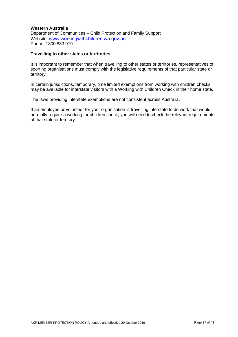#### **Western Australia**

Department of Communities – Child Protection and Family Support Website: [www.workingwithchildren.wa.gov.au](http://www.workingwithchildren.wa.gov.au/) Phone: 1800 883 979

#### **Travelling to other states or territories**

It is important to remember that when travelling to other states or territories, representatives of sporting organisations must comply with the legislative requirements of that particular state or territory.

In certain jurisdictions, temporary, time limited exemptions from working with children checks may be available for interstate visitors with a Working with Children Check in their home state.

The laws providing interstate exemptions are not consistent across Australia.

If an employee or volunteer for your organisation is travelling interstate to do work that would normally require a working for children check, you will need to check the relevant requirements of that state or territory.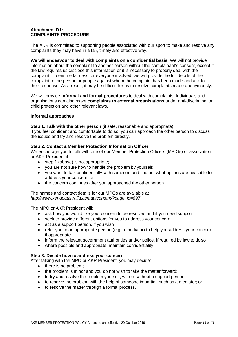## **Attachment D1: COMPLAINTS PROCEDURE**

The AKR is committed to supporting people associated with our sport to make and resolve any complaints they may have in a fair, timely and effective way.

**We will endeavour to deal with complaints on a confidential basis**. We will not provide information about the complaint to another person without the complainant's consent, except if the law requires us disclose this information or it is necessary to properly deal with the complaint. To ensure fairness for everyone involved, we will provide the full details of the complaint to the person or people against whom the complaint has been made and ask for their response. As a result, it may be difficult for us to resolve complaints made anonymously.

We will provide **informal and formal procedures** to deal with complaints. Individuals and organisations can also make **complaints to external organisations** under anti-discrimination, child protection and other relevant laws.

#### **Informal approaches**

**Step 1: Talk with the other person** (if safe, reasonable and appropriate)

If you feel confident and comfortable to do so, you can approach the other person to discuss the issues and try and resolve the problem directly.

#### **Step 2: Contact a Member Protection Information Officer**

We encourage you to talk with one of our Member Protection Officers (MPIOs) or association or AKR President if:

- step 1 (above) is not appropriate;
- you are not sure how to handle the problem by yourself;
- you want to talk confidentially with someone and find out what options are available to address your concern; or
- the concern continues after you approached the other person.

The names and contact details for our MPOs are available at *[http://www.kendoaustralia.asn.au/content/?page\\_id=897](http://www.kendoaustralia.asn.au/content/?page_id=897)*.

The MPO or AKR President will:

- ask how you would like your concern to be resolved and if you need support
- seek to provide different options for you to address your concern
- act as a support person, if you wish
- refer you to an appropriate person (e.g. a mediator) to help you address your concern, if appropriate
- inform the relevant government authorities and/or police, if required by law to do so
- where possible and appropriate, maintain confidentiality.

## **Step 3: Decide how to address your concern**

After talking with the MPO or AKR President, you may decide:

- there is no problem;
- the problem is minor and you do not wish to take the matter forward;
- to try and resolve the problem yourself, with or without a support person;
- to resolve the problem with the help of someone impartial, such as a mediator; or
- to resolve the matter through a formal process.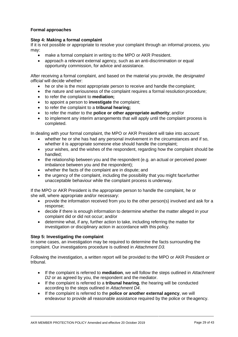## **Formal approaches**

#### **Step 4: Making a formal complaint**

If it is not possible or appropriate to resolve your complaint through an informal process, you may:

- make a formal complaint in writing to the MPO or AKR President.
- approach a relevant external agency, such as an anti-discrimination or equal opportunity commission, for advice and assistance.

After receiving a formal complaint, and based on the material you provide, the *designated official* will decide whether:

- he or she is the most appropriate person to receive and handle the complaint;
- the nature and seriousness of the complaint requires a formal resolution procedure;
- to refer the complaint to **mediation;**
- to appoint a person to **investigate** the complaint;
- to refer the complaint to a **tribunal hearing;**
- to refer the matter to the **police or other appropriate authority**; and/or
- to implement any interim arrangements that will apply until the complaint process is completed.

In dealing with your formal complaint, the MPO or AKR President will take into account:

- whether he or she has had any personal involvement in the circumstances and if so, whether it is appropriate someone else should handle the complaint;
- your wishes, and the wishes of the respondent, regarding how the complaint should be handled;
- the relationship between you and the respondent (e.g. an actual or perceived power imbalance between you and the respondent);
- whether the facts of the complaint are in dispute; and
- the urgency of the complaint, including the possibility that you might facefurther unacceptable behaviour while the complaint process is underway.

If the MPO or AKR President is the appropriate person to handle the complaint, he or she will, where appropriate and/or necessary:

- provide the information received from you to the other person(s) involved and ask for a response;
- decide if there is enough information to determine whether the matter alleged in your complaint did or did not occur; and/or
- determine what, if any, further action to take, including referring the matter for investigation or disciplinary action in accordance with this policy.

#### **Step 5: Investigating the complaint**

In some cases, an investigation may be required to determine the facts surrounding the complaint. Our investigations procedure is outlined in *Attachment D3.*

Following the investigation, a written report will be provided to the MPO or AKR President *or*  tribunal.

- If the complaint is referred to **mediation**, we will follow the steps outlined in *Attachment D2* or as agreed by you, the respondent and the mediator.
- If the complaint is referred to a **tribunal hearing**, the hearing will be conducted according to the steps outlined in *Attachment D4*.
- If the complaint is referred to the **police or another external agency**, we will endeavour to provide all reasonable assistance required by the police or theagency.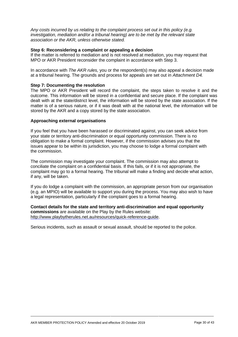*Any costs incurred by us relating to the complaint process set out in this policy (e.g. investigation, mediation and/or a tribunal hearing) are to be met by the relevant state association or the AKR, unless otherwise stated.*

#### **Step 6: Reconsidering a complaint or appealing a decision**

If the matter is referred to mediation and is not resolved at mediation, you may request that MPO or AKR President reconsider the complaint in accordance with Step 3.

In accordance with *The AKR rules,* you or the respondent(s) may also appeal a decision made at a tribunal hearing. The grounds and process for appeals are set out in *Attachment D4.*

#### **Step 7: Documenting the resolution**

The MPO or AKR President will record the complaint, the steps taken to resolve it and the outcome. This information will be stored in a confidential and secure place. If the complaint was dealt with at the state/district level, the information will be stored by the state association. If the matter is of a serious nature, or if it was dealt with at the national level, the information will be stored by the AKR and a copy stored by the state association.

#### **Approaching external organisations**

If you feel that you have been harassed or discriminated against, you can seek advice from your state or territory anti-discrimination or equal opportunity commission. There is no obligation to make a formal complaint. However, if the commission advises you that the issues appear to be within its jurisdiction, you may choose to lodge a formal complaint with the commission.

The commission may investigate your complaint. The commission may also attempt to conciliate the complaint on a confidential basis. If this fails, or if it is not appropriate, the complaint may go to a formal hearing. The tribunal will make a finding and decide what action, if any, will be taken.

If you do lodge a complaint with the commission, an appropriate person from our organisation (e.g. an MPIO) will be available to support you during the process. You may also wish to have a legal representation, particularly if the complaint goes to a formal hearing.

**Contact details for the state and territory anti-discrimination and equal opportunity commissions** are available on the Play by the Rules website: [http://www.playbytherules.net.au/resources/quick-reference-guide.](http://www.playbytherules.net.au/resources/quick-reference-guide)

Serious incidents, such as assault or sexual assault, should be reported to the police.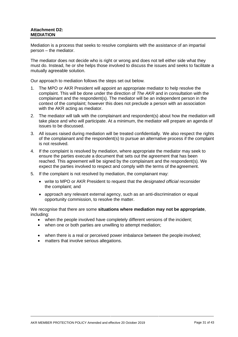## **Attachment D2: MEDIATION**

Mediation is a process that seeks to resolve complaints with the assistance of an impartial person – the mediator.

The mediator does not decide who is right or wrong and does not tell either side what they must do. Instead, he or she helps those involved to discuss the issues and seeks to facilitate a mutually agreeable solution.

Our approach to mediation follows the steps set out below*.*

- 1. The MPO or AKR President will appoint an appropriate mediator to help resolve the complaint. This will be done under the direction of *The AKR* and in consultation with the complainant and the respondent(s). The mediator will be an independent person in the context of the complaint; however this does not preclude a person with an association with the AKR acting as mediator.
- 2. The mediator will talk with the complainant and respondent(s) about how the mediation will take place and who will participate. At a minimum, the mediator will prepare an agenda of issues to be discussed.
- 3. All issues raised during mediation will be treated confidentially. We also respect the rights of the complainant and the respondent(s) to pursue an alternative process if the complaint is not resolved.
- 4. If the complaint is resolved by mediation, where appropriate the mediator may seek to ensure the parties execute a document that sets out the agreement that has been reached. This agreement will be signed by the complainant and the respondent(s). We expect the parties involved to respect and comply with the terms of the agreement.
- 5. If the complaint is not resolved by mediation, the complainant may:
	- write to MPO or AKR President to request that the *designated official* reconsider the complaint; and
	- approach any relevant external agency, such as an anti-discrimination or equal opportunity commission, to resolve the matter.

We recognise that there are some **situations where mediation may not be appropriate**, including:

- when the people involved have completely different versions of the incident;
- when one or both parties are unwilling to attempt mediation;
- when there is a real or perceived power imbalance between the people involved;
- matters that involve serious allegations.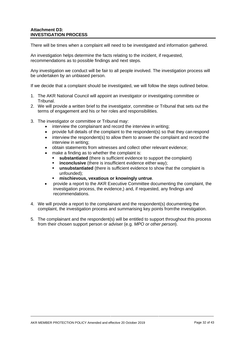There will be times when a complaint will need to be investigated and information gathered.

An investigation helps determine the facts relating to the incident, if requested, recommendations as to possible findings and next steps.

Any investigation we conduct will be fair to all people involved. The investigation process will be undertaken by an unbiased person.

If we decide that a complaint should be investigated, we will follow the steps outlined below.

- 1. The AKR National Council will appoint an investigator or investigating committee or Tribunal.
- 2. We will provide a written brief to the investigator, committee or Tribunal that sets out the terms of engagement and his or her roles and responsibilities.
- 3. The investigator or committee or Tribunal may:
	- interview the complainant and record the interview in writing;
	- provide full details of the complaint to the respondent(s) so that they can respond
	- interview the respondent(s) to allow them to answer the complaint and record the interview in writing;
	- obtain statements from witnesses and collect other relevant evidence;
	- make a finding as to whether the complaint is:
		- **substantiated** (there is sufficient evidence to support the complaint)
		- **EXEDENCIONARY INCONCIDE:** insufficient evidence either way);
		- **unsubstantiated** (there is sufficient evidence to show that the complaint is unfounded);
		- **mischievous, vexatious or knowingly untrue**.
	- provide a report to the AKR Executive Committee documenting the complaint, the investigation process, the evidence,) and, if requested, any findings and recommendations.
- 4. We will provide a report to the complainant and the respondent(s) documenting the complaint, the investigation process and summarising key points fromthe investigation.
- 5. The complainant and the respondent(s) will be entitled to support throughout this process from their chosen support person or adviser (e.g. *MPO or other person*).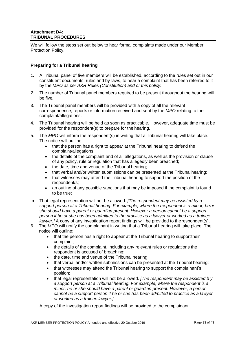We will follow the steps set out below to hear formal complaints made under our Member Protection Policy.

## **Preparing for a Tribunal hearing**

- *1.* A Tribunal panel of five members will be established, according to the rules set out in our constituent documents, rules and by-laws, to hear a complaint that has been referred to it by the *MPO as per AKR Rules (Constitution) and or this policy.*
- *2.* The number of Tribunal panel members required to be present throughout the hearing will be five*.*
- 3. The Tribunal panel members will be provided with a copy of all the relevant correspondence, reports or information received and sent by the *MPO* relating to the complaint/allegations.
- 4. The Tribunal hearing will be held as soon as practicable. However, adequate time must be provided for the respondent(s) to prepare for the hearing.
- 5. The *MPO* will inform the respondent(s) in writing that a Tribunal hearing will take place. The notice will outline:
	- that the person has a right to appear at the Tribunal hearing to defend the complaint/allegations;
	- the details of the complaint and of all allegations, as well as the provision or clause of any policy, rule or regulation that has allegedly been breached;
	- the date, time and venue of the Tribunal hearing;
	- that verbal and/or written submissions can be presented at the Tribunal hearing;
	- that witnesses may attend the Tribunal hearing to support the position of the respondent/s;
	- an outline of any possible sanctions that may be imposed if the complaint is found to be true;
- That legal representation will not be allowed. *[The respondent may be assisted by a support person at a Tribunal hearing. For example, where the respondent is a minor, heor she should have a parent or guardian present. However a person cannot be a support person if he or she has been admitted to the practise as a lawyer or worked as a trainee lawyer.]* A copy of any investigation report findings will be provided to the respondent(s).
- 6. The *MPO* will notify the complainant in writing that a Tribunal hearing will take place. The notice will outline:
	- that the person has a right to appear at the Tribunal hearing to support their complaint;
	- the details of the complaint, including any relevant rules or regulations the respondent is accused of breaching;
	- the date, time and venue of the Tribunal hearing;
	- that verbal and/or written submissions can be presented at the Tribunal hearing;
	- that witnesses may attend the Tribunal hearing to support the complainant's position;
	- that legal representation will not be allowed. *[The respondent may be assisted b y a support person at a Tribunal hearing. For example, where the respondent is a minor, he or she should have a parent or guardian present. However, a person cannot be a support person if he or she has been admitted to practice as a lawyer or worked as a trainee lawyer.]*

A copy of the investigation report findings will be provided to the complainant.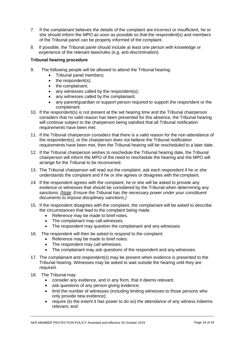- 7. If the complainant believes the details of the complaint are incorrect or insufficient, he or she should inform the *MPO* as soon as possible so that the respondent(s) and members of the Tribunal panel can be properly informed of the complaint.
- 8. If possible, the Tribunal panel should include at least one person with knowledge or experience of the relevant laws/rules (e.g. anti-discrimination).

## **Tribunal hearing procedure**

- 9. The following people will be allowed to attend the Tribunal hearing:
	- Tribunal panel members;
	- the respondent(s);
	- the complainant;
	- any witnesses called by the respondent(s);
	- any witnesses called by the complainant;
	- any parent/guardian or support person required to support the respondent or the complainant.
- 10. If the respondent(s) is not present at the set hearing time and the Tribunal chairperson considers that no valid reason has been presented for this absence, the Tribunal hearing will continue subject to the chairperson being satisfied that all Tribunal notification requirements have been met.
- 11. If the Tribunal chairperson considers that there is a valid reason for the non-attendance of the respondent(s), or the chairperson does not believe the Tribunal notification requirements have been met, then the Tribunal hearing will be rescheduled to a later date.
- 12. If the Tribunal chairperson wishes to reschedule the Tribunal hearing date, the Tribunal chairperson will inform the MPO of the need to reschedule the hearing and the MPO will arrange for the Tribunal to be reconvened.
- 13. The Tribunal chairperson will read out the complaint, ask each respondent if he or she understands the complaint and if he or she agrees or disagrees with the complaint.
- *14.* If the respondent agrees with the complaint, he or she will be asked to provide any evidence or witnesses that should be considered by the Tribunal when determining any sanctions. *[Note: Ensure the Tribunal has the necessary power under your constituent documents to impose disciplinary sanctions.]*
- 15. If the respondent disagrees with the complaint, the complainant will be asked to describe the circumstances that lead to the complaint being made.
	- Reference may be made to brief notes.
	- The complainant may call witnesses.
	- The respondent may question the complainant and any witnesses.
- 16. The respondent will then be asked to respond to the complaint.
	- Reference may be made to brief notes.
	- The respondent may call witnesses.
	- The complainant may ask questions of the respondent and any witnesses.
- 17. The complainant and respondent(s) may be present when evidence is presented to the Tribunal hearing. Witnesses may be asked to wait outside the hearing until they are required.
- 18. The Tribunal may:
	- consider any evidence, and in any form, that it deems relevant;
	- ask questions of any person giving evidence;
	- limit the number of witnesses (including limiting witnesses to those persons who only provide new evidence);
	- require (to the extent it has power to do so) the attendance of any witness itdeems relevant; and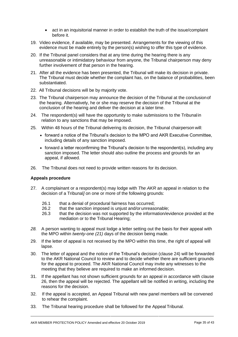- act in an inquisitorial manner in order to establish the truth of the issue/complaint before it.
- 19. Video evidence, if available, may be presented. Arrangements for the viewing of this evidence must be made entirely by the person(s) wishing to offer this type of evidence.
- 20. If the Tribunal panel considers that at any time during the hearing there is any unreasonable or intimidatory behaviour from anyone, the Tribunal chairperson may deny further involvement of that person in the hearing.
- 21. After all the evidence has been presented, the Tribunal will make its decision in private. The Tribunal must decide whether the complaint has, on the balance of probabilities, been substantiated.
- 22. All Tribunal decisions will be by majority vote.
- 23. The Tribunal chairperson may announce the decision of the Tribunal at the conclusionof the hearing. Alternatively, he or she may reserve the decision of the Tribunal at the conclusion of the hearing and deliver the decision at a later time.
- 24. The respondent(s) will have the opportunity to make submissions to the Tribunal in relation to any sanctions that may be imposed.
- 25. Within 48 hours of the Tribunal delivering its decision, the Tribunal chairperson will:
	- forward a notice of the Tribunal's decision to the MPO and AKR Executive Committee, including details of any sanction imposed.
	- forward a letter reconfirming the Tribunal's decision to the respondent(s), including any sanction imposed. The letter should also outline the process and grounds for an appeal, if allowed.
- 26. The Tribunal does not need to provide written reasons for its decision.

## **Appeals procedure**

- 27. A complainant or a respondent(s) may lodge with *The AKR* an appeal in relation to the decision of a Tribunal*]* on one or more of the following grounds:
	- 26.1 that a denial of procedural fairness has occurred;
	- 26.2 that the sanction imposed is unjust and/orunreasonable;
	- 26.3 that the decision was not supported by the information/evidence provided at the mediation or to the Tribunal Hearing;
- *28.* A person wanting to appeal must lodge a letter setting out the basis for their appeal with the MPO within *twenty-one (21)* days of the decision being made*.*
- 29. If the letter of appeal is not received by the MPO within this time, the right of appeal will lapse.
- 30. The letter of appeal and the notice of the Tribunal's decision (clause 24) will be forwarded to the AKR National Council to review and to decide whether there are sufficient grounds for the appeal to proceed. The AKR National Council may invite any witnesses to the meeting that they believe are required to make an informed decision.
- 31. If the appellant has not shown sufficient grounds for an appeal in accordance with clause 26, then the appeal will be rejected. The appellant will be notified in writing, including the reasons for the decision.
- 32. If the appeal is accepted, an Appeal Tribunal with new panel members will be convened to rehear the complaint.
- 33. The Tribunal hearing procedure shall be followed for the Appeal Tribunal.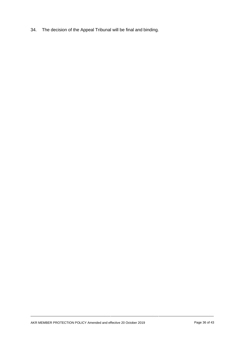34. The decision of the Appeal Tribunal will be final and binding.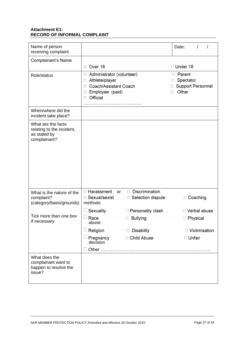## **Attachment E1: RECORD OF INFORMAL COMPLAINT**

| Name of person<br>receiving complaint                                           |                                                                                                                                         |                                                         | Date:<br>$\prime$                                                            |
|---------------------------------------------------------------------------------|-----------------------------------------------------------------------------------------------------------------------------------------|---------------------------------------------------------|------------------------------------------------------------------------------|
| Complainant's Name                                                              |                                                                                                                                         |                                                         |                                                                              |
|                                                                                 | Over 18<br>П                                                                                                                            |                                                         | □ Under 18                                                                   |
| Role/status                                                                     | Administrator (volunteer)<br>Athlete/player<br>$\Box$<br>Coach/Assistant Coach<br>$\Box$<br>Employee (paid)<br>□<br>Official<br>$\perp$ |                                                         | Parent<br>$\Box$<br>Spectator<br>П<br><b>Support Personnel</b><br>Other<br>П |
| When/where did the<br>incident take place?                                      |                                                                                                                                         |                                                         |                                                                              |
| What are the facts<br>relating to the incident,<br>as stated by<br>complainant? |                                                                                                                                         |                                                         |                                                                              |
| What is the nature of the<br>complaint?<br>(category/basis/grounds)             | □ Harassment<br><b>or</b><br>□ Sexual/sexist<br>methods                                                                                 | Discrimination<br>$\Box$<br>Selection dispute<br>$\Box$ | $\Box$ Coaching                                                              |
|                                                                                 | Sexuality                                                                                                                               | □ Personality clash                                     | □ Verbal abuse                                                               |
| Tick more than one box<br>if necessary                                          | Race<br>abuse                                                                                                                           | <b>Bullying</b>                                         | Physical                                                                     |
|                                                                                 | Religion                                                                                                                                | <b>Disability</b><br>$\Box$                             | □ Victimisation                                                              |
|                                                                                 | Pregnancy<br>decision                                                                                                                   | □ Child Abuse                                           | □ Unfair                                                                     |
|                                                                                 |                                                                                                                                         |                                                         |                                                                              |
| What does the<br>complainant want to<br>happen to resolve the<br>issue?         |                                                                                                                                         |                                                         |                                                                              |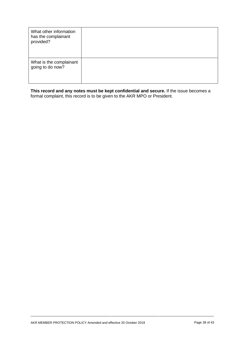| What other information<br>has the complainant<br>provided? |  |
|------------------------------------------------------------|--|
| What is the complainant<br>going to do now?                |  |

**This record and any notes must be kept confidential and secure.** If the issue becomes a formal complaint, this record is to be given to the AKR MPO or President.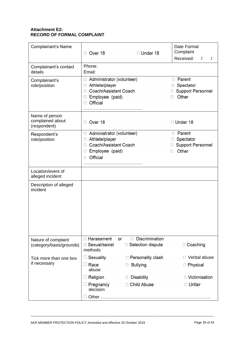## **Attachment E2: RECORD OF FORMAL COMPLAINT**

| Complainant's Name                                 | Over 18<br>П                                                                                                                                                 | $\Box$ Under 18                                          | Date Formal<br>Complaint                                                                   |  |
|----------------------------------------------------|--------------------------------------------------------------------------------------------------------------------------------------------------------------|----------------------------------------------------------|--------------------------------------------------------------------------------------------|--|
|                                                    |                                                                                                                                                              |                                                          | Received:<br>$\prime$<br>$\sqrt{2}$                                                        |  |
| Complainant's contact<br>details                   | Phone:<br>Email:                                                                                                                                             |                                                          |                                                                                            |  |
| Complainant's<br>role/position                     | Administrator (volunteer)<br>$\Box$<br>Athlete/player<br>$\Box$<br>Coach/Assistant Coach<br>$\Box$<br>Employee (paid)<br>$\vert \vert$<br>Official<br>$\Box$ |                                                          | Parent<br>$\Box$<br>Spectator<br><b>Support Personnel</b><br>Other                         |  |
| Name of person<br>complained about<br>(respondent) | Over 18<br>П                                                                                                                                                 |                                                          | □ Under 18                                                                                 |  |
| Respondent's<br>role/position                      | Administrator (volunteer)<br>$\perp$<br>Athlete/player<br>$\Box$<br>Coach/Assistant Coach<br>П<br>Employee (paid)<br>$\Box$<br>Official<br>$\vert \vert$     |                                                          | $\Box$ Parent<br>Spectator<br>$\perp$<br><b>Support Personnel</b><br>Other<br>$\mathbf{L}$ |  |
| Location/event of<br>alleged incident              |                                                                                                                                                              |                                                          |                                                                                            |  |
| Description of alleged<br>incident                 |                                                                                                                                                              |                                                          |                                                                                            |  |
| Nature of complaint<br>(category/basis/grounds)    | □ Harassment<br>□ Sexual/sexist<br>methods                                                                                                                   | Discrimination<br>$\Box$<br>or<br>Selection dispute<br>П | □ Coaching                                                                                 |  |
| Tick more than one box<br>if necessary             | Sexuality<br>$\Box$<br>Race<br>$\Box$                                                                                                                        | $\Box$ Personality clash<br><b>Bullying</b><br>$\Box$    | Verbal abuse<br>П<br>□ Physical                                                            |  |
|                                                    | abuse                                                                                                                                                        |                                                          |                                                                                            |  |
|                                                    | Religion<br>$\mathbf{L}$                                                                                                                                     | <b>Disability</b>                                        | □ Victimisation                                                                            |  |
|                                                    | Pregnancy<br>$\Box$<br>decision                                                                                                                              | □ Child Abuse                                            | □ Unfair                                                                                   |  |
|                                                    |                                                                                                                                                              |                                                          |                                                                                            |  |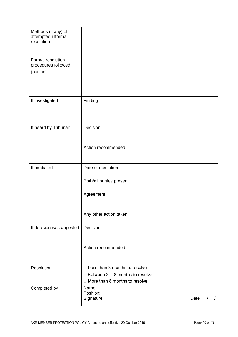| Methods (if any) of<br>attempted informal<br>resolution |                                                                                |      |          |  |
|---------------------------------------------------------|--------------------------------------------------------------------------------|------|----------|--|
| Formal resolution<br>procedures followed<br>(outline)   |                                                                                |      |          |  |
| If investigated:                                        | Finding                                                                        |      |          |  |
| If heard by Tribunal:                                   | Decision                                                                       |      |          |  |
|                                                         | Action recommended                                                             |      |          |  |
| If mediated:                                            | Date of mediation:                                                             |      |          |  |
|                                                         | Both/all parties present                                                       |      |          |  |
|                                                         | Agreement                                                                      |      |          |  |
|                                                         | Any other action taken                                                         |      |          |  |
| If decision was appealed                                | Decision                                                                       |      |          |  |
|                                                         | Action recommended                                                             |      |          |  |
| Resolution                                              | $\Box$ Less than 3 months to resolve                                           |      |          |  |
|                                                         | $\Box$ Between 3 – 8 months to resolve<br>$\Box$ More than 8 months to resolve |      |          |  |
| Completed by                                            | Name:<br>Position:<br>Signature:                                               | Date | $\prime$ |  |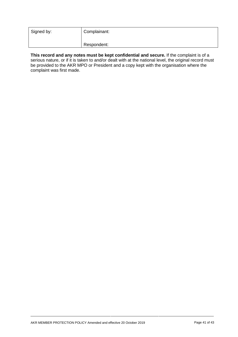| Signed by: | Complainant: |
|------------|--------------|
|            | Respondent:  |

**This record and any notes must be kept confidential and secure.** If the complaint is of a serious nature, or if it is taken to and/or dealt with at the national level, the original record must be provided to the AKR MPO or President and a copy kept with the organisation where the complaint was first made.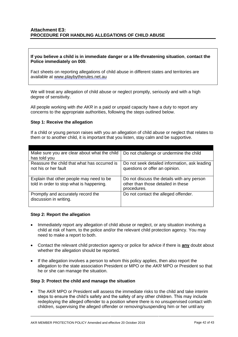## **Attachment E3: PROCEDURE FOR HANDLING ALLEGATIONS OF CHILD ABUSE**

#### **If you believe a child is in immediate danger or a life-threatening situation**, **contact the Police immediately on 000**.

Fact sheets on reporting allegations of child abuse in different states and territories are available at [www.playbytherules.net.au](http://www.playbytherules.net.au/)

We will treat any allegation of child abuse or neglect promptly, seriously and with a high degree of sensitivity.

All people working with *the AKR* in a paid or unpaid capacity have a duty to report any concerns to the appropriate authorities, following the steps outlined below.

#### **Step 1: Receive the allegation**

If a child or young person raises with you an allegation of child abuse or neglect that relates to them or to another child, it is important that you listen, stay calm and be supportive.

| Make sure you are clear about what the child                         | Do not challenge or undermine the child                                         |
|----------------------------------------------------------------------|---------------------------------------------------------------------------------|
| has told you                                                         |                                                                                 |
| Reassure the child that what has occurred is<br>not his or her fault | Do not seek detailed information, ask leading<br>questions or offer an opinion. |
| Explain that other people may need to be                             | Do not discuss the details with any person                                      |
| told in order to stop what is happening.                             | other than those detailed in these                                              |
|                                                                      | procedures.                                                                     |
| Promptly and accurately record the<br>discussion in writing.         | Do not contact the alleged offender.                                            |

#### **Step 2: Report the allegation**

- Immediately report any allegation of child abuse or neglect, or any situation involving a child at risk of harm, to the police and/or the relevant child protection agency. You may need to make a report to both.
- Contact the relevant child protection agency or police for advice if there is **any** doubt about whether the allegation should be reported.
- If the allegation involves a person to whom this policy applies, then also report the allegation to the state association President or MPO or the *AKR* MPO or President so that he or she can manage the situation.

#### **Step 3: Protect the child and manage the situation**

• The AKR MPO or President will assess the immediate risks to the child and take interim steps to ensure the child's safety and the safety of any other children. This may include redeploying the alleged offender to a position where there is no unsupervised contact with children, supervising the alleged offender or removing/suspending him or her until any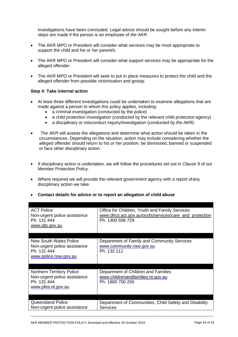investigations have been concluded. Legal advice should be sought before any interim steps are made if the person is an employee of *the AKR.*

- The AKR MPO or President will consider what services may be most appropriate to support the child and his or her parent/s.
- The AKR MPO or President will consider what support services may be appropriate for the alleged offender.
- The AKR MPO or President will seek to put in place measures to protect the child and the alleged offender from possible victimisation and gossip.

#### **Step 4: Take internal action**

- At least three different investigations could be undertaken to examine allegations that are made against a person to whom this policy applies, including:
	- a criminal investigation (conducted by the police)
	- a child protection investigation (conducted by the relevant child protection agency)
	- a disciplinary or misconduct inquiry/investigation (conducted by *the AKR*).
- *The AKR* will assess the allegations and determine what action should be taken in the circumstances. Depending on the situation, action may include considering whether the alleged offender should return to his or her position, be dismissed, banned or suspended or face other disciplinary action.
- If disciplinary action is undertaken, we will follow the procedures set out in *Clause 9* of our Member Protection Policy.
- Where required we will provide the relevant government agency with a report ofany disciplinary action we take.
- **Contact details for advice or to report an allegation of child abuse**

| <b>ACT Police</b><br>Non-urgent police assistance<br>Ph: 131 444<br>www.afp.gov.au                    | Office for Children, Youth and Family Services<br>www.dhcs.act.gov.au/ocyfs/services/care_and_protection<br>Ph: 1300 556 729 |
|-------------------------------------------------------------------------------------------------------|------------------------------------------------------------------------------------------------------------------------------|
| New South Wales Police<br>Non-urgent police assistance<br>Ph: 131 444<br>www.police.nsw.gov.au        | Department of Family and Community Services<br>www.community.nsw.gov.au<br>Ph: 132 111                                       |
| <b>Northern Territory Police</b><br>Non-urgent police assistance<br>Ph: 131 444<br>www.pfes.nt.gov.au | Department of Children and Families<br>www.childrenandfamilies.nt.gov.au<br>Ph: 1800 700 250                                 |
| Queensland Police<br>Non-urgent police assistance                                                     | Department of Communities, Child Safety and Disability<br><b>Services</b>                                                    |